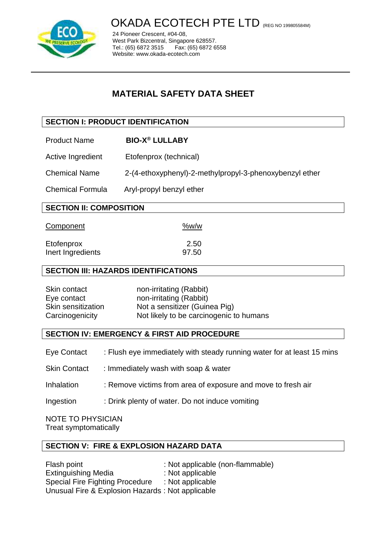

 $\overline{a}$ 

OKADA ECOTECH PTE LTD (REG NO 199805584M)

24 Pioneer Crescent, #04-08, West Park Bizcentral, Singapore 628557.<br>Tel.: (65) 6872 3515 Fax: (65) 6872 6 Fax: (65) 6872 6558 Website: www.okada-ecotech.com

# **MATERIAL SAFETY DATA SHEET**

# **SECTION I: PRODUCT IDENTIFICATION**

- Product Name **BIO-X® LULLABY**
- Active Ingredient Etofenprox (technical)
- Chemical Name 2-(4-ethoxyphenyl)-2-methylpropyl-3-phenoxybenzyl ether
- Chemical Formula Aryl-propyl benzyl ether

# **SECTION II: COMPOSITION**

Component %w/w

| 2.50  |
|-------|
| 97.50 |
|       |

# **SECTION III: HAZARDS IDENTIFICATIONS**

| Skin contact       | non-irritating (Rabbit)                 |
|--------------------|-----------------------------------------|
| Eye contact        | non-irritating (Rabbit)                 |
| Skin sensitization | Not a sensitizer (Guinea Pig)           |
| Carcinogenicity    | Not likely to be carcinogenic to humans |

# **SECTION IV: EMERGENCY & FIRST AID PROCEDURE**

- Eye Contact : Flush eye immediately with steady running water for at least 15 mins
- Skin Contact : Immediately wash with soap & water
- Inhalation : Remove victims from area of exposure and move to fresh air
- Ingestion : Drink plenty of water. Do not induce vomiting

NOTE TO PHYSICIAN Treat symptomatically

# **SECTION V: FIRE & EXPLOSION HAZARD DATA**

Flash point : Not applicable (non-flammable) Extinguishing Media : Not applicable Special Fire Fighting Procedure : Not applicable Unusual Fire & Explosion Hazards : Not applicable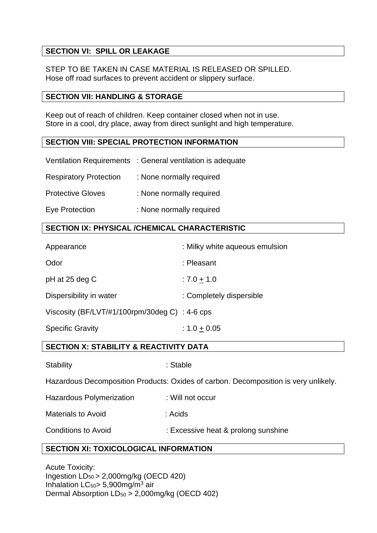# **SECTION VI: SPILL OR LEAKAGE**

STEP TO BE TAKEN IN CASE MATERIAL IS RELEASED OR SPILLED. Hose off road surfaces to prevent accident or slippery surface.

#### **SECTION VII: HANDLING & STORAGE**

Keep out of reach of children. Keep container closed when not in use. Store in a cool, dry place, away from direct sunlight and high temperature.

# **SECTION VIII: SPECIAL PROTECTION INFORMATION**

|                               | Ventilation Requirements : General ventilation is adequate |
|-------------------------------|------------------------------------------------------------|
| <b>Respiratory Protection</b> | : None normally required                                   |
| <b>Protective Gloves</b>      | : None normally required                                   |
| Eye Protection                | : None normally required                                   |

# **SECTION IX: PHYSICAL /CHEMICAL CHARACTERISTIC**

| Appearance                                     | : Milky white aqueous emulsion |
|------------------------------------------------|--------------------------------|
| Odor                                           | : Pleasant                     |
| pH at 25 deg C                                 | $: 7.0 + 1.0$                  |
| Dispersibility in water                        | : Completely dispersible       |
| Viscosity (BF/LVT/#1/100rpm/30deg C) : 4-6 cps |                                |
| <b>Specific Gravity</b>                        | $: 1.0 + 0.05$                 |

# **SECTION X: STABILITY & REACTIVITY DATA**

Stability : Stable : Stable

Hazardous Decomposition Products: Oxides of carbon. Decomposition is very unlikely.

Hazardous Polymerization : Will not occur

Materials to Avoid : Acids

Conditions to Avoid : Excessive heat & prolong sunshine

# **SECTION XI: TOXICOLOGICAL INFORMATION**

Acute Toxicity: Ingestion LD50 > 2,000mg/kg (OECD 420) Inhalation  $LC_{50}$  = 5,900mg/m<sup>3</sup> air Dermal Absorption LD<sup>50</sup> > 2,000mg/kg (OECD 402)